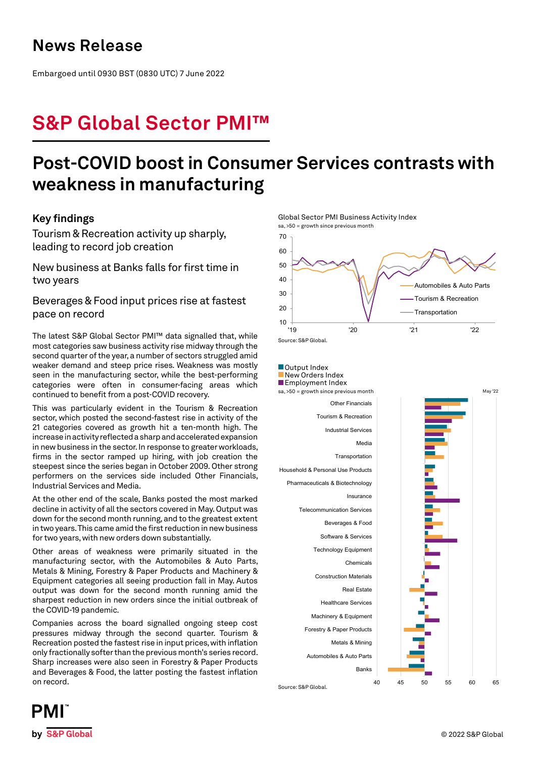## **News Release**

Embargoed until 0930 BST (0830 UTC) 7 June 2022

# **S&P Global Sector PMI™**

## **Post-COVID boost in Consumer Services contrasts with weakness in manufacturing**

## **Key findings**

Tourism & Recreation activity up sharply, leading to record job creation

New business at Banks falls for first time in two years

Beverages & Food input prices rise at fastest pace on record

The latest S&P Global Sector PMI™ data signalled that, while most categories saw business activity rise midway through the second quarter of the year, a number of sectors struggled amid weaker demand and steep price rises. Weakness was mostly seen in the manufacturing sector, while the best-performing categories were often in consumer-facing areas which continued to benefit from a post-COVID recovery.

This was particularly evident in the Tourism & Recreation sector, which posted the second-fastest rise in activity of the 21 categories covered as growth hit a ten-month high. The increase in activity reflected a sharp and accelerated expansion in new business in the sector. In response to greater workloads, firms in the sector ramped up hiring, with job creation the steepest since the series began in October 2009. Other strong performers on the services side included Other Financials, Industrial Services and Media.

At the other end of the scale, Banks posted the most marked decline in activity of all the sectors covered in May. Output was down for the second month running, and to the greatest extent in two years. This came amid the first reduction in new business for two years, with new orders down substantially.

Other areas of weakness were primarily situated in the manufacturing sector, with the Automobiles & Auto Parts, Metals & Mining, Forestry & Paper Products and Machinery & Equipment categories all seeing production fall in May. Autos output was down for the second month running amid the sharpest reduction in new orders since the initial outbreak of the COVID-19 pandemic.

Companies across the board signalled ongoing steep cost pressures midway through the second quarter. Tourism & Recreation posted the fastest rise in input prices, with inflation only fractionally softer than the previous month's series record. Sharp increases were also seen in Forestry & Paper Products and Beverages & Food, the latter posting the fastest inflation on record.



Global Sector PMI Business Activity Index